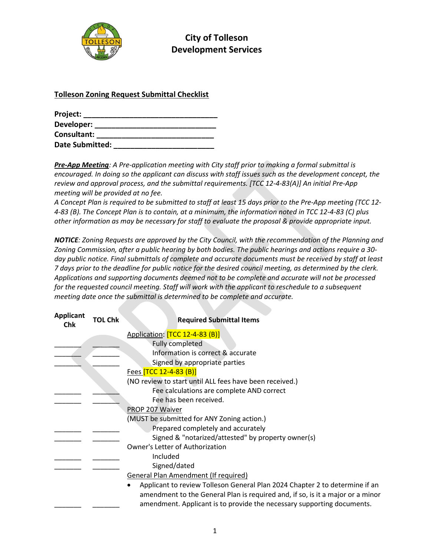

City of Tolleson Development Services

## Tolleson Zoning Request Submittal Checklist

| Project:               |  |
|------------------------|--|
| Developer:             |  |
| Consultant:            |  |
| <b>Date Submitted:</b> |  |

Pre-App Meeting: A Pre-application meeting with City staff prior to making a formal submittal is encouraged. In doing so the applicant can discuss with staff issues such as the development concept, the review and approval process, and the submittal requirements. [TCC 12-4-83(A)] An initial Pre-App meeting will be provided at no fee.

A Concept Plan is required to be submitted to staff at least 15 days prior to the Pre-App meeting (TCC 12- 4-83 (B). The Concept Plan is to contain, at a minimum, the information noted in TCC 12-4-83 (C) plus other information as may be necessary for staff to evaluate the proposal & provide appropriate input.

NOTICE: Zoning Requests are approved by the City Council, with the recommendation of the Planning and Zoning Commission, after a public hearing by both bodies. The public hearings and actions require a 30 day public notice. Final submittals of complete and accurate documents must be received by staff at least 7 days prior to the deadline for public notice for the desired council meeting, as determined by the clerk. Applications and supporting documents deemed not to be complete and accurate will not be processed for the requested council meeting. Staff will work with the applicant to reschedule to a subsequent meeting date once the submittal is determined to be complete and accurate.

| <b>Applicant</b><br><b>Chk</b> | <b>TOL Chk</b> | <b>Required Submittal Items</b>                                                                                                                                                                                                         |
|--------------------------------|----------------|-----------------------------------------------------------------------------------------------------------------------------------------------------------------------------------------------------------------------------------------|
|                                |                | Application: [TCC 12-4-83 (B)]                                                                                                                                                                                                          |
|                                |                | <b>Fully completed</b>                                                                                                                                                                                                                  |
|                                |                | Information is correct & accurate                                                                                                                                                                                                       |
|                                |                | Signed by appropriate parties                                                                                                                                                                                                           |
|                                |                | Fees [TCC 12-4-83 (B)]                                                                                                                                                                                                                  |
|                                |                | (NO review to start until ALL fees have been received.)                                                                                                                                                                                 |
|                                |                | Fee calculations are complete AND correct                                                                                                                                                                                               |
|                                |                | Fee has been received.                                                                                                                                                                                                                  |
|                                |                | PROP 207 Waiver                                                                                                                                                                                                                         |
|                                |                | (MUST be submitted for ANY Zoning action.)                                                                                                                                                                                              |
|                                |                | Prepared completely and accurately                                                                                                                                                                                                      |
|                                |                | Signed & "notarized/attested" by property owner(s)                                                                                                                                                                                      |
|                                |                | Owner's Letter of Authorization                                                                                                                                                                                                         |
|                                |                | Included                                                                                                                                                                                                                                |
|                                |                | Signed/dated                                                                                                                                                                                                                            |
|                                |                | <b>General Plan Amendment (If required)</b>                                                                                                                                                                                             |
|                                |                | Applicant to review Tolleson General Plan 2024 Chapter 2 to determine if an<br>amendment to the General Plan is required and, if so, is it a major or a minor<br>amendment. Applicant is to provide the necessary supporting documents. |